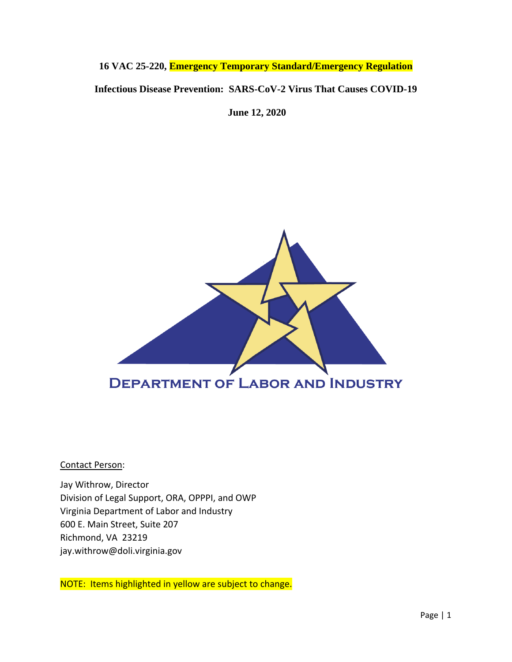# **16 VAC 25-220, Emergency Temporary Standard/Emergency Regulation Infectious Disease Prevention: SARS-CoV-2 Virus That Causes COVID-19**

**June 12, 2020**



Contact Person:

Jay Withrow, Director Division of Legal Support, ORA, OPPPI, and OWP Virginia Department of Labor and Industry 600 E. Main Street, Suite 207 Richmond, VA 23219 jay.withrow@doli.virginia.gov

NOTE: Items highlighted in yellow are subject to change.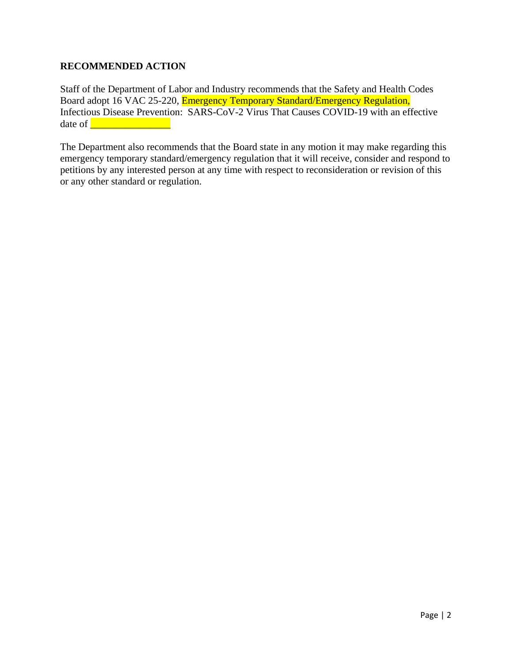## **RECOMMENDED ACTION**

Staff of the Department of Labor and Industry recommends that the Safety and Health Codes Board adopt 16 VAC 25-220, Emergency Temporary Standard/Emergency Regulation, Infectious Disease Prevention: SARS-CoV-2 Virus That Causes COVID-19 with an effective date of  $\qquad \qquad$ 

The Department also recommends that the Board state in any motion it may make regarding this emergency temporary standard/emergency regulation that it will receive, consider and respond to petitions by any interested person at any time with respect to reconsideration or revision of this or any other standard or regulation.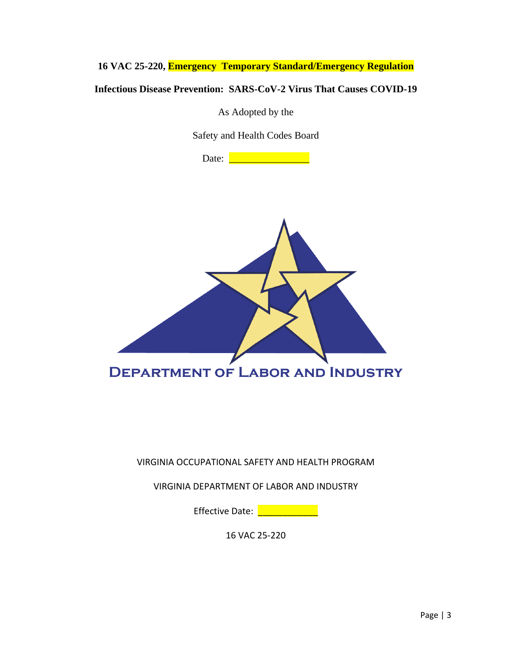**16 VAC 25-220, Emergency Temporary Standard/Emergency Regulation**

**Infectious Disease Prevention: SARS-CoV-2 Virus That Causes COVID-19**

As Adopted by the

Safety and Health Codes Board

Date: <u>\_\_\_\_\_\_\_\_\_\_\_\_\_\_\_\_\_\_\_</u>



VIRGINIA OCCUPATIONAL SAFETY AND HEALTH PROGRAM

VIRGINIA DEPARTMENT OF LABOR AND INDUSTRY

Effective Date: **Late Act of the Set of the Equator** 

16 VAC 25-220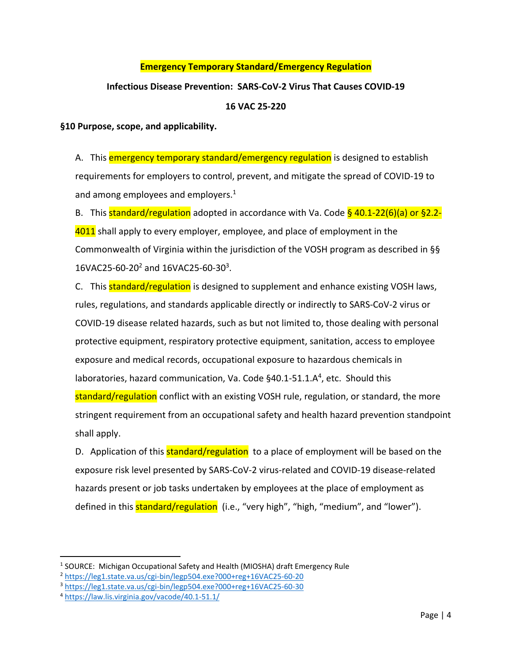#### **Emergency Temporary Standard/Emergency Regulation**

# **Infectious Disease Prevention: SARS-CoV-2 Virus That Causes COVID-19**

#### **16 VAC 25-220**

**§10 Purpose, scope, and applicability.**

A. This **emergency temporary standard/emergency regulation** is designed to establish requirements for employers to control, prevent, and mitigate the spread of COVID-19 to and among employees and employers.<sup>1</sup>

B. This standard/regulation adopted in accordance with Va. Code  $\frac{6}{9}$  40.1-22(6)(a) or §2.2-4011 shall apply to every employer, employee, and place of employment in the Commonwealth of Virginia within the jurisdiction of the VOSH program as described in §§ 16VAC25-60-20<sup>2</sup> and 16VAC25-60-30<sup>3</sup>.

C. This **standard/regulation** is designed to supplement and enhance existing VOSH laws, rules, regulations, and standards applicable directly or indirectly to SARS-CoV-2 virus or COVID-19 disease related hazards, such as but not limited to, those dealing with personal protective equipment, respiratory protective equipment, sanitation, access to employee exposure and medical records, occupational exposure to hazardous chemicals in laboratories, hazard communication, Va. Code §40.1-51.1.A<sup>4</sup>, etc. Should this

standard/regulation conflict with an existing VOSH rule, regulation, or standard, the more stringent requirement from an occupational safety and health hazard prevention standpoint shall apply.

D. Application of this **standard/regulation** to a place of employment will be based on the exposure risk level presented by SARS-CoV-2 virus-related and COVID-19 disease-related hazards present or job tasks undertaken by employees at the place of employment as defined in this **standard/regulation** (i.e., "very high", "high, "medium", and "lower").

<sup>&</sup>lt;sup>1</sup> SOURCE: Michigan Occupational Safety and Health (MIOSHA) draft Emergency Rule

<sup>2</sup> <https://leg1.state.va.us/cgi-bin/legp504.exe?000+reg+16VAC25-60-20>

<sup>3</sup> <https://leg1.state.va.us/cgi-bin/legp504.exe?000+reg+16VAC25-60-30>

<sup>4</sup> <https://law.lis.virginia.gov/vacode/40.1-51.1/>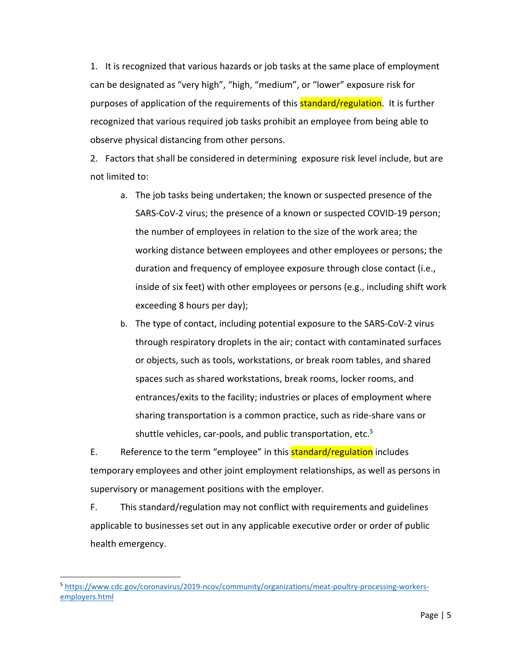1. It is recognized that various hazards or job tasks at the same place of employment can be designated as "very high", "high, "medium", or "lower" exposure risk for purposes of application of the requirements of this **standard/regulation**. It is further recognized that various required job tasks prohibit an employee from being able to observe physical distancing from other persons.

2. Factors that shall be considered in determining exposure risk level include, but are not limited to:

- a. The job tasks being undertaken; the known or suspected presence of the SARS-CoV-2 virus; the presence of a known or suspected COVID-19 person; the number of employees in relation to the size of the work area; the working distance between employees and other employees or persons; the duration and frequency of employee exposure through close contact (i.e., inside of six feet) with other employees or persons (e.g., including shift work exceeding 8 hours per day);
- b. The type of contact, including potential exposure to the SARS-CoV-2 virus through respiratory droplets in the air; contact with contaminated surfaces or objects, such as tools, workstations, or break room tables, and shared spaces such as shared workstations, break rooms, locker rooms, and entrances/exits to the facility; industries or places of employment where sharing transportation is a common practice, such as ride-share vans or shuttle vehicles, car-pools, and public transportation, etc.<sup>5</sup>

E. Reference to the term "employee" in this **standard/regulation** includes temporary employees and other joint employment relationships, as well as persons in supervisory or management positions with the employer.

F. This standard/regulation may not conflict with requirements and guidelines applicable to businesses set out in any applicable executive order or order of public health emergency.

<sup>5</sup> [https://www.cdc.gov/coronavirus/2019-ncov/community/organizations/meat-poultry-processing-workers](https://www.cdc.gov/coronavirus/2019-ncov/community/organizations/meat-poultry-processing-workers-employers.html)[employers.html](https://www.cdc.gov/coronavirus/2019-ncov/community/organizations/meat-poultry-processing-workers-employers.html)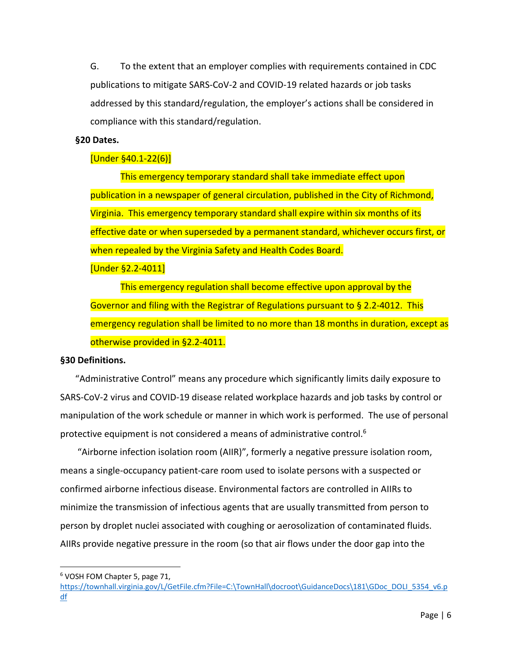G. To the extent that an employer complies with requirements contained in CDC publications to mitigate SARS-CoV-2 and COVID-19 related hazards or job tasks addressed by this standard/regulation, the employer's actions shall be considered in compliance with this standard/regulation.

#### **§20 Dates.**

## [Under §40.1-22(6)]

This emergency temporary standard shall take immediate effect upon publication in a newspaper of general circulation, published in the City of Richmond, Virginia. This emergency temporary standard shall expire within six months of its effective date or when superseded by a permanent standard, whichever occurs first, or when repealed by the Virginia Safety and Health Codes Board.

[Under §2.2-4011]

This emergency regulation shall become effective upon approval by the Governor and filing with the Registrar of Regulations pursuant to § 2.2-4012. This emergency regulation shall be limited to no more than 18 months in duration, except as otherwise provided in §2.2-4011.

#### **§30 Definitions.**

"Administrative Control" means any procedure which significantly limits daily exposure to SARS-CoV-2 virus and COVID-19 disease related workplace hazards and job tasks by control or manipulation of the work schedule or manner in which work is performed. The use of personal protective equipment is not considered a means of administrative control.<sup>6</sup>

"Airborne infection isolation room (AIIR)", formerly a negative pressure isolation room, means a single-occupancy patient-care room used to isolate persons with a suspected or confirmed airborne infectious disease. Environmental factors are controlled in AIIRs to minimize the transmission of infectious agents that are usually transmitted from person to person by droplet nuclei associated with coughing or aerosolization of contaminated fluids. AIIRs provide negative pressure in the room (so that air flows under the door gap into the

<sup>6</sup> VOSH FOM Chapter 5, page 71,

[https://townhall.virginia.gov/L/GetFile.cfm?File=C:\TownHall\docroot\GuidanceDocs\181\GDoc\\_DOLI\\_5354\\_v6.p](https://townhall.virginia.gov/L/GetFile.cfm?File=C:/TownHall/docroot/GuidanceDocs/181/GDoc_DOLI_5354_v6.pdf) [df](https://townhall.virginia.gov/L/GetFile.cfm?File=C:/TownHall/docroot/GuidanceDocs/181/GDoc_DOLI_5354_v6.pdf)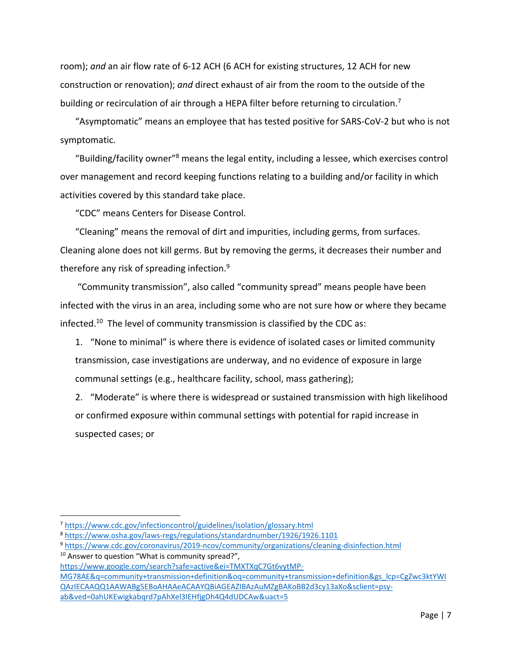room); *and* an air flow rate of 6-12 ACH (6 ACH for existing structures, 12 ACH for new construction or renovation); *and* direct exhaust of air from the room to the outside of the building or recirculation of air through a HEPA filter before returning to circulation.<sup>7</sup>

"Asymptomatic" means an employee that has tested positive for SARS-CoV-2 but who is not symptomatic.

"Building/facility owner"<sup>8</sup> means the legal entity, including a lessee, which exercises control over management and record keeping functions relating to a building and/or facility in which activities covered by this standard take place.

"CDC" means Centers for Disease Control.

"Cleaning" means the removal of dirt and impurities, including germs, from surfaces. Cleaning alone does not kill germs. But by removing the germs, it decreases their number and therefore any risk of spreading infection.<sup>9</sup>

"Community transmission", also called "community spread" means people have been infected with the virus in an area, including some who are not sure how or where they became infected.<sup>10</sup> The level of community transmission is classified by the CDC as:

1. "None to minimal" is where there is evidence of isolated cases or limited community transmission, case investigations are underway, and no evidence of exposure in large communal settings (e.g., healthcare facility, school, mass gathering);

2. "Moderate" is where there is widespread or sustained transmission with high likelihood or confirmed exposure within communal settings with potential for rapid increase in suspected cases; or

 $\overline{a}$ 

[https://www.google.com/search?safe=active&ei=TMXTXqC7Gt6vytMP-](https://www.google.com/search?safe=active&ei=TMXTXqC7Gt6vytMP-MG78AE&q=community+transmission+definition&oq=community+transmission+definition&gs_lcp=CgZwc3ktYWIQAzIECAAQQ1AAWABg5EBoAHAAeACAAYQBiAGEAZIBAzAuMZgBAKoBB2d3cy13aXo&sclient=psy-ab&ved=0ahUKEwigkabqrd7pAhXel3IEHfjgDh4Q4dUDCAw&uact=5)[MG78AE&q=community+transmission+definition&oq=community+transmission+definition&gs\\_lcp=CgZwc3ktYWI](https://www.google.com/search?safe=active&ei=TMXTXqC7Gt6vytMP-MG78AE&q=community+transmission+definition&oq=community+transmission+definition&gs_lcp=CgZwc3ktYWIQAzIECAAQQ1AAWABg5EBoAHAAeACAAYQBiAGEAZIBAzAuMZgBAKoBB2d3cy13aXo&sclient=psy-ab&ved=0ahUKEwigkabqrd7pAhXel3IEHfjgDh4Q4dUDCAw&uact=5) [QAzIECAAQQ1AAWABg5EBoAHAAeACAAYQBiAGEAZIBAzAuMZgBAKoBB2d3cy13aXo&sclient=psy](https://www.google.com/search?safe=active&ei=TMXTXqC7Gt6vytMP-MG78AE&q=community+transmission+definition&oq=community+transmission+definition&gs_lcp=CgZwc3ktYWIQAzIECAAQQ1AAWABg5EBoAHAAeACAAYQBiAGEAZIBAzAuMZgBAKoBB2d3cy13aXo&sclient=psy-ab&ved=0ahUKEwigkabqrd7pAhXel3IEHfjgDh4Q4dUDCAw&uact=5)[ab&ved=0ahUKEwigkabqrd7pAhXel3IEHfjgDh4Q4dUDCAw&uact=5](https://www.google.com/search?safe=active&ei=TMXTXqC7Gt6vytMP-MG78AE&q=community+transmission+definition&oq=community+transmission+definition&gs_lcp=CgZwc3ktYWIQAzIECAAQQ1AAWABg5EBoAHAAeACAAYQBiAGEAZIBAzAuMZgBAKoBB2d3cy13aXo&sclient=psy-ab&ved=0ahUKEwigkabqrd7pAhXel3IEHfjgDh4Q4dUDCAw&uact=5)

<sup>7</sup> <https://www.cdc.gov/infectioncontrol/guidelines/isolation/glossary.html>

<sup>8</sup> <https://www.osha.gov/laws-regs/regulations/standardnumber/1926/1926.1101>

<sup>9</sup> <https://www.cdc.gov/coronavirus/2019-ncov/community/organizations/cleaning-disinfection.html>

<sup>&</sup>lt;sup>10</sup> Answer to question "What is community spread?",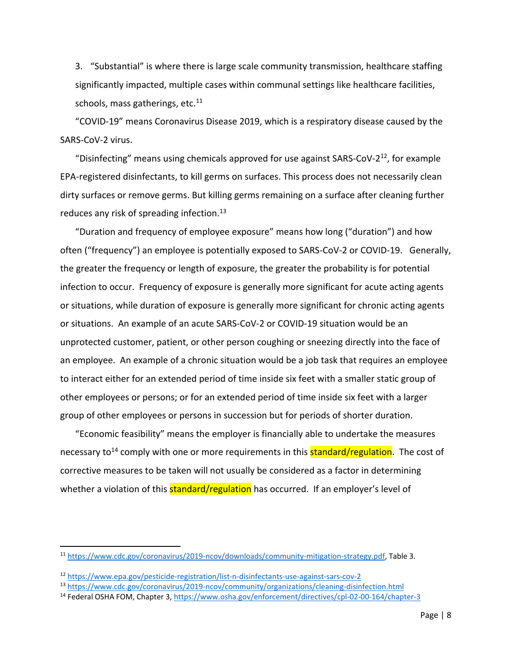3. "Substantial" is where there is large scale community transmission, healthcare staffing significantly impacted, multiple cases within communal settings like healthcare facilities, schools, mass gatherings, etc. $11$ 

"COVID-19" means Coronavirus Disease 2019, which is a respiratory disease caused by the SARS-CoV-2 virus.

"Disinfecting" means using chemicals approved for use against SARS-CoV-2 $^{12}$ , for example EPA-registered disinfectants, to kill germs on surfaces. This process does not necessarily clean dirty surfaces or remove germs. But killing germs remaining on a surface after cleaning further reduces any risk of spreading infection.<sup>13</sup>

"Duration and frequency of employee exposure" means how long ("duration") and how often ("frequency") an employee is potentially exposed to SARS-CoV-2 or COVID-19. Generally, the greater the frequency or length of exposure, the greater the probability is for potential infection to occur. Frequency of exposure is generally more significant for acute acting agents or situations, while duration of exposure is generally more significant for chronic acting agents or situations. An example of an acute SARS-CoV-2 or COVID-19 situation would be an unprotected customer, patient, or other person coughing or sneezing directly into the face of an employee. An example of a chronic situation would be a job task that requires an employee to interact either for an extended period of time inside six feet with a smaller static group of other employees or persons; or for an extended period of time inside six feet with a larger group of other employees or persons in succession but for periods of shorter duration.

"Economic feasibility" means the employer is financially able to undertake the measures necessary to<sup>14</sup> comply with one or more requirements in this **standard/regulation**. The cost of corrective measures to be taken will not usually be considered as a factor in determining whether a violation of this **standard/regulation** has occurred. If an employer's level of

<sup>11</sup> [https://www.cdc.gov/coronavirus/2019-ncov/downloads/community-mitigation-strategy.pdf,](https://www.cdc.gov/coronavirus/2019-ncov/downloads/community-mitigation-strategy.pdf) Table 3.

<sup>12</sup> <https://www.epa.gov/pesticide-registration/list-n-disinfectants-use-against-sars-cov-2>

<sup>13</sup> <https://www.cdc.gov/coronavirus/2019-ncov/community/organizations/cleaning-disinfection.html>

<sup>14</sup> Federal OSHA FOM, Chapter 3,<https://www.osha.gov/enforcement/directives/cpl-02-00-164/chapter-3>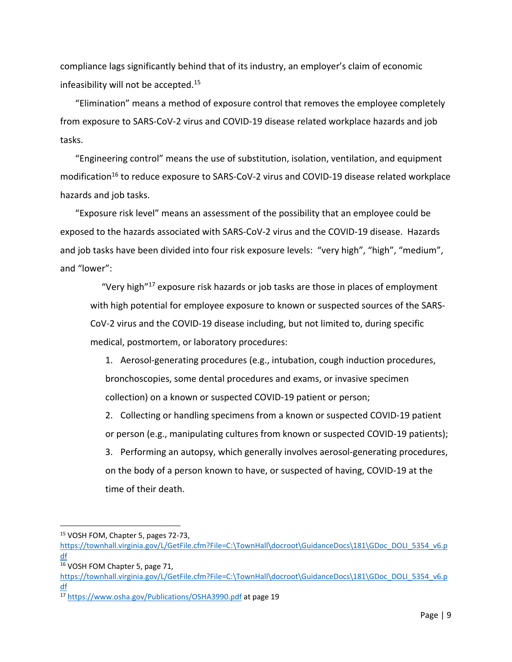compliance lags significantly behind that of its industry, an employer's claim of economic infeasibility will not be accepted.<sup>15</sup>

"Elimination" means a method of exposure control that removes the employee completely from exposure to SARS-CoV-2 virus and COVID-19 disease related workplace hazards and job tasks.

"Engineering control" means the use of substitution, isolation, ventilation, and equipment modification<sup>16</sup> to reduce exposure to SARS-CoV-2 virus and COVID-19 disease related workplace hazards and job tasks.

"Exposure risk level" means an assessment of the possibility that an employee could be exposed to the hazards associated with SARS-CoV-2 virus and the COVID-19 disease. Hazards and job tasks have been divided into four risk exposure levels: "very high", "high", "medium", and "lower":

"Very high"<sup>17</sup> exposure risk hazards or job tasks are those in places of employment with high potential for employee exposure to known or suspected sources of the SARS-CoV-2 virus and the COVID-19 disease including, but not limited to, during specific medical, postmortem, or laboratory procedures:

1. Aerosol-generating procedures (e.g., intubation, cough induction procedures, bronchoscopies, some dental procedures and exams, or invasive specimen collection) on a known or suspected COVID-19 patient or person;

2. Collecting or handling specimens from a known or suspected COVID-19 patient or person (e.g., manipulating cultures from known or suspected COVID-19 patients);

3. Performing an autopsy, which generally involves aerosol-generating procedures, on the body of a person known to have, or suspected of having, COVID-19 at the time of their death.

<sup>15</sup> VOSH FOM, Chapter 5, pages 72-73,

[https://townhall.virginia.gov/L/GetFile.cfm?File=C:\TownHall\docroot\GuidanceDocs\181\GDoc\\_DOLI\\_5354\\_v6.p](https://townhall.virginia.gov/L/GetFile.cfm?File=C:/TownHall/docroot/GuidanceDocs/181/GDoc_DOLI_5354_v6.pdf) [df](https://townhall.virginia.gov/L/GetFile.cfm?File=C:/TownHall/docroot/GuidanceDocs/181/GDoc_DOLI_5354_v6.pdf)

<sup>16</sup> VOSH FOM Chapter 5, page 71,

[https://townhall.virginia.gov/L/GetFile.cfm?File=C:\TownHall\docroot\GuidanceDocs\181\GDoc\\_DOLI\\_5354\\_v6.p](https://townhall.virginia.gov/L/GetFile.cfm?File=C:/TownHall/docroot/GuidanceDocs/181/GDoc_DOLI_5354_v6.pdf) [df](https://townhall.virginia.gov/L/GetFile.cfm?File=C:/TownHall/docroot/GuidanceDocs/181/GDoc_DOLI_5354_v6.pdf)

<sup>17</sup> <https://www.osha.gov/Publications/OSHA3990.pdf> at page 19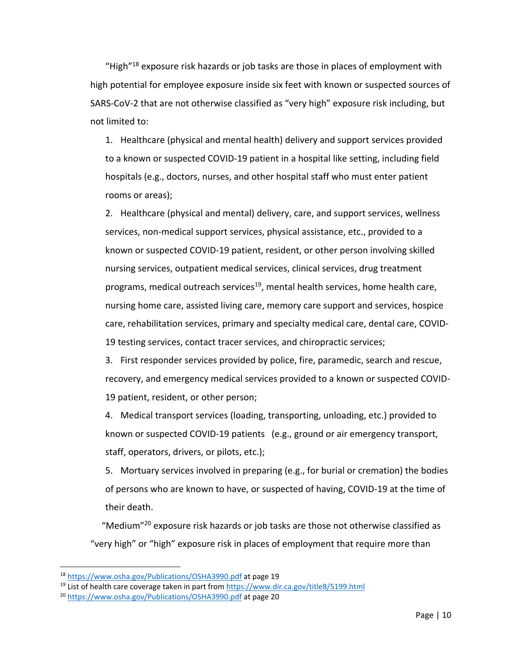"High"<sup>18</sup> exposure risk hazards or job tasks are those in places of employment with high potential for employee exposure inside six feet with known or suspected sources of SARS-CoV-2 that are not otherwise classified as "very high" exposure risk including, but not limited to:

1. Healthcare (physical and mental health) delivery and support services provided to a known or suspected COVID-19 patient in a hospital like setting, including field hospitals (e.g., doctors, nurses, and other hospital staff who must enter patient rooms or areas);

2. Healthcare (physical and mental) delivery, care, and support services, wellness services, non-medical support services, physical assistance, etc., provided to a known or suspected COVID-19 patient, resident, or other person involving skilled nursing services, outpatient medical services, clinical services, drug treatment programs, medical outreach services<sup>19</sup>, mental health services, home health care, nursing home care, assisted living care, memory care support and services, hospice care, rehabilitation services, primary and specialty medical care, dental care, COVID-19 testing services, contact tracer services, and chiropractic services;

3. First responder services provided by police, fire, paramedic, search and rescue, recovery, and emergency medical services provided to a known or suspected COVID-19 patient, resident, or other person;

4. Medical transport services (loading, transporting, unloading, etc.) provided to known or suspected COVID-19 patients (e.g., ground or air emergency transport, staff, operators, drivers, or pilots, etc.);

5. Mortuary services involved in preparing (e.g., for burial or cremation) the bodies of persons who are known to have, or suspected of having, COVID-19 at the time of their death.

"Medium"<sup>20</sup> exposure risk hazards or job tasks are those not otherwise classified as "very high" or "high" exposure risk in places of employment that require more than

<sup>18</sup> <https://www.osha.gov/Publications/OSHA3990.pdf> at page 19

<sup>&</sup>lt;sup>19</sup> List of health care coverage taken in part from<https://www.dir.ca.gov/title8/5199.html>

<sup>20</sup> <https://www.osha.gov/Publications/OSHA3990.pdf> at page 20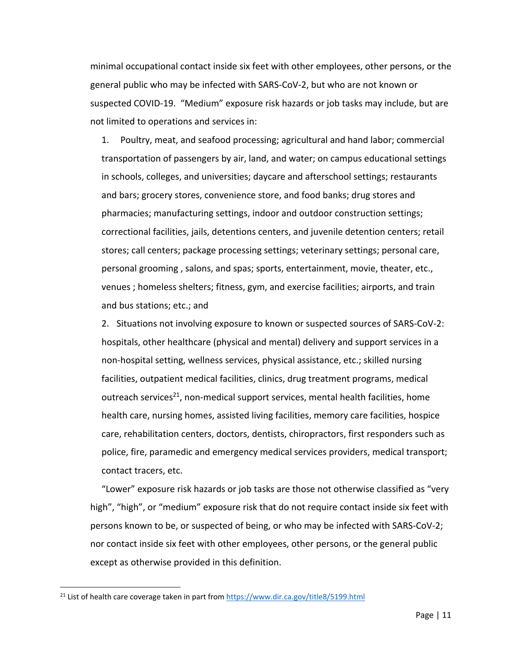minimal occupational contact inside six feet with other employees, other persons, or the general public who may be infected with SARS-CoV-2, but who are not known or suspected COVID-19. "Medium" exposure risk hazards or job tasks may include, but are not limited to operations and services in:

1. Poultry, meat, and seafood processing; agricultural and hand labor; commercial transportation of passengers by air, land, and water; on campus educational settings in schools, colleges, and universities; daycare and afterschool settings; restaurants and bars; grocery stores, convenience store, and food banks; drug stores and pharmacies; manufacturing settings, indoor and outdoor construction settings; correctional facilities, jails, detentions centers, and juvenile detention centers; retail stores; call centers; package processing settings; veterinary settings; personal care, personal grooming , salons, and spas; sports, entertainment, movie, theater, etc., venues ; homeless shelters; fitness, gym, and exercise facilities; airports, and train and bus stations; etc.; and

2. Situations not involving exposure to known or suspected sources of SARS-CoV-2: hospitals, other healthcare (physical and mental) delivery and support services in a non-hospital setting, wellness services, physical assistance, etc.; skilled nursing facilities, outpatient medical facilities, clinics, drug treatment programs, medical outreach services<sup>21</sup>, non-medical support services, mental health facilities, home health care, nursing homes, assisted living facilities, memory care facilities, hospice care, rehabilitation centers, doctors, dentists, chiropractors, first responders such as police, fire, paramedic and emergency medical services providers, medical transport; contact tracers, etc.

"Lower" exposure risk hazards or job tasks are those not otherwise classified as "very high", "high", or "medium" exposure risk that do not require contact inside six feet with persons known to be, or suspected of being, or who may be infected with SARS-CoV-2; nor contact inside six feet with other employees, other persons, or the general public except as otherwise provided in this definition.

<sup>&</sup>lt;sup>21</sup> List of health care coverage taken in part from<https://www.dir.ca.gov/title8/5199.html>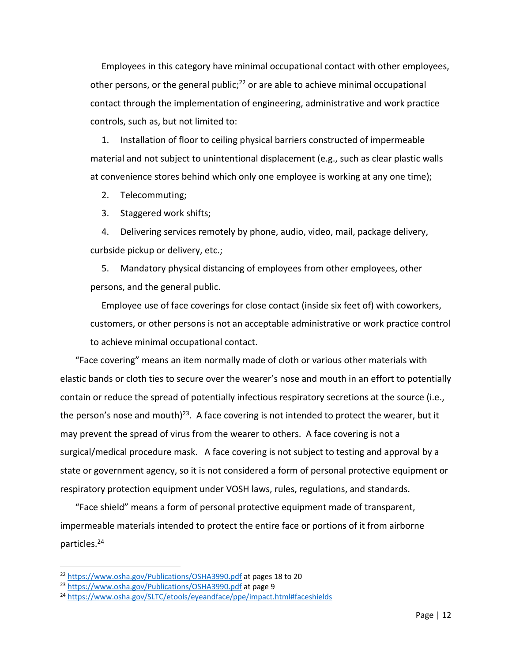Employees in this category have minimal occupational contact with other employees, other persons, or the general public;<sup>22</sup> or are able to achieve minimal occupational contact through the implementation of engineering, administrative and work practice controls, such as, but not limited to:

1. Installation of floor to ceiling physical barriers constructed of impermeable material and not subject to unintentional displacement (e.g., such as clear plastic walls at convenience stores behind which only one employee is working at any one time);

2. Telecommuting;

3. Staggered work shifts;

4. Delivering services remotely by phone, audio, video, mail, package delivery, curbside pickup or delivery, etc.;

5. Mandatory physical distancing of employees from other employees, other persons, and the general public.

Employee use of face coverings for close contact (inside six feet of) with coworkers, customers, or other persons is not an acceptable administrative or work practice control to achieve minimal occupational contact.

"Face covering" means an item normally made of cloth or various other materials with elastic bands or cloth ties to secure over the wearer's nose and mouth in an effort to potentially contain or reduce the spread of potentially infectious respiratory secretions at the source (i.e., the person's nose and mouth)<sup>23</sup>. A face covering is not intended to protect the wearer, but it may prevent the spread of virus from the wearer to others. A face covering is not a surgical/medical procedure mask. A face covering is not subject to testing and approval by a state or government agency, so it is not considered a form of personal protective equipment or respiratory protection equipment under VOSH laws, rules, regulations, and standards.

"Face shield" means a form of personal protective equipment made of transparent, impermeable materials intended to protect the entire face or portions of it from airborne particles.<sup>24</sup>

<sup>22</sup> <https://www.osha.gov/Publications/OSHA3990.pdf> at pages 18 to 20

<sup>23</sup> <https://www.osha.gov/Publications/OSHA3990.pdf> at page 9

<sup>24</sup> <https://www.osha.gov/SLTC/etools/eyeandface/ppe/impact.html#faceshields>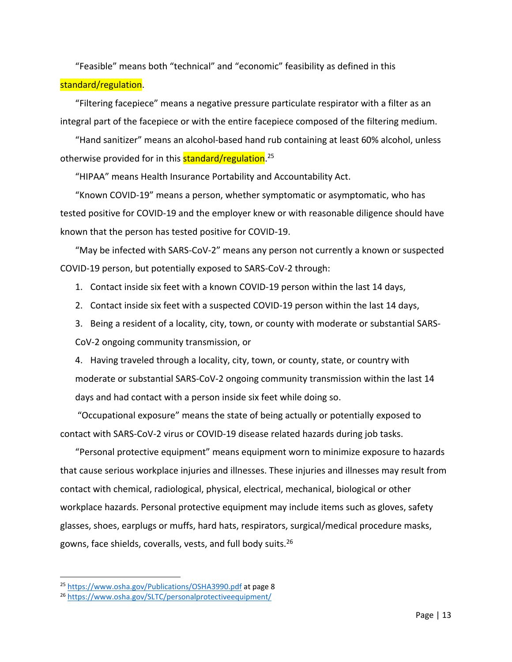"Feasible" means both "technical" and "economic" feasibility as defined in this standard/regulation.

"Filtering facepiece" means a negative pressure particulate respirator with a filter as an integral part of the facepiece or with the entire facepiece composed of the filtering medium.

"Hand sanitizer" means an alcohol-based hand rub containing at least 60% alcohol, unless otherwise provided for in this <mark>standard/regulation</mark>.<sup>25</sup>

"HIPAA" means Health Insurance Portability and Accountability Act.

"Known COVID-19" means a person, whether symptomatic or asymptomatic, who has tested positive for COVID-19 and the employer knew or with reasonable diligence should have known that the person has tested positive for COVID-19.

"May be infected with SARS-CoV-2" means any person not currently a known or suspected COVID-19 person, but potentially exposed to SARS-CoV-2 through:

- 1. Contact inside six feet with a known COVID-19 person within the last 14 days,
- 2. Contact inside six feet with a suspected COVID-19 person within the last 14 days,
- 3. Being a resident of a locality, city, town, or county with moderate or substantial SARS-CoV-2 ongoing community transmission, or

4. Having traveled through a locality, city, town, or county, state, or country with moderate or substantial SARS-CoV-2 ongoing community transmission within the last 14 days and had contact with a person inside six feet while doing so.

"Occupational exposure" means the state of being actually or potentially exposed to contact with SARS-CoV-2 virus or COVID-19 disease related hazards during job tasks.

"Personal protective equipment" means equipment worn to minimize exposure to hazards that cause serious workplace injuries and illnesses. These injuries and illnesses may result from contact with chemical, radiological, physical, electrical, mechanical, biological or other workplace hazards. Personal protective equipment may include items such as gloves, safety glasses, shoes, earplugs or muffs, hard hats, respirators, surgical/medical procedure masks, gowns, face shields, coveralls, vests, and full body suits.<sup>26</sup>

<sup>25</sup> <https://www.osha.gov/Publications/OSHA3990.pdf> at page 8

<sup>26</sup> <https://www.osha.gov/SLTC/personalprotectiveequipment/>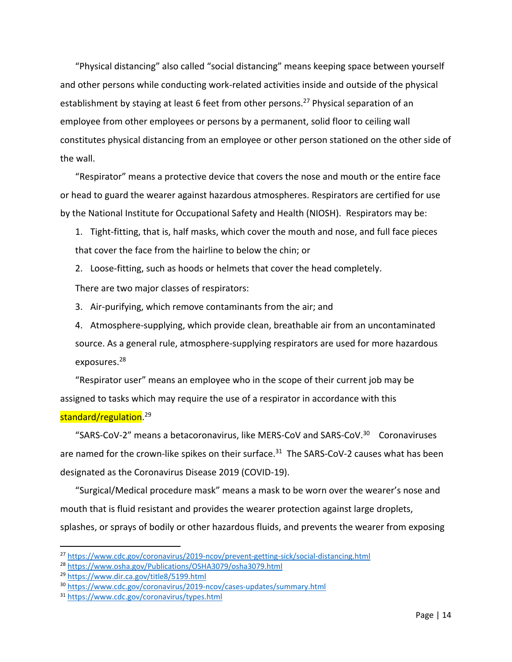"Physical distancing" also called "social distancing" means keeping space between yourself and other persons while conducting work-related activities inside and outside of the physical establishment by staying at least 6 feet from other persons.<sup>27</sup> Physical separation of an employee from other employees or persons by a permanent, solid floor to ceiling wall constitutes physical distancing from an employee or other person stationed on the other side of the wall.

"Respirator" means a protective device that covers the nose and mouth or the entire face or head to guard the wearer against hazardous atmospheres. Respirators are certified for use by the National Institute for Occupational Safety and Health (NIOSH). Respirators may be:

1. Tight-fitting, that is, half masks, which cover the mouth and nose, and full face pieces that cover the face from the hairline to below the chin; or

2. Loose-fitting, such as hoods or helmets that cover the head completely.

There are two major classes of respirators:

3. Air-purifying, which remove contaminants from the air; and

4. Atmosphere-supplying, which provide clean, breathable air from an uncontaminated source. As a general rule, atmosphere-supplying respirators are used for more hazardous exposures.<sup>28</sup>

"Respirator user" means an employee who in the scope of their current job may be assigned to tasks which may require the use of a respirator in accordance with this

# standard/regulation. 29

 $\overline{\phantom{a}}$ 

"SARS-CoV-2" means a betacoronavirus, like MERS-CoV and SARS-CoV.<sup>30</sup> Coronaviruses are named for the crown-like spikes on their surface.<sup>31</sup> The SARS-CoV-2 causes what has been designated as the Coronavirus Disease 2019 (COVID-19).

"Surgical/Medical procedure mask" means a mask to be worn over the wearer's nose and mouth that is fluid resistant and provides the wearer protection against large droplets, splashes, or sprays of bodily or other hazardous fluids, and prevents the wearer from exposing

<sup>27</sup> <https://www.cdc.gov/coronavirus/2019-ncov/prevent-getting-sick/social-distancing.html>

<sup>28</sup> <https://www.osha.gov/Publications/OSHA3079/osha3079.html>

<sup>29</sup> <https://www.dir.ca.gov/title8/5199.html>

<sup>30</sup> <https://www.cdc.gov/coronavirus/2019-ncov/cases-updates/summary.html>

<sup>31</sup> <https://www.cdc.gov/coronavirus/types.html>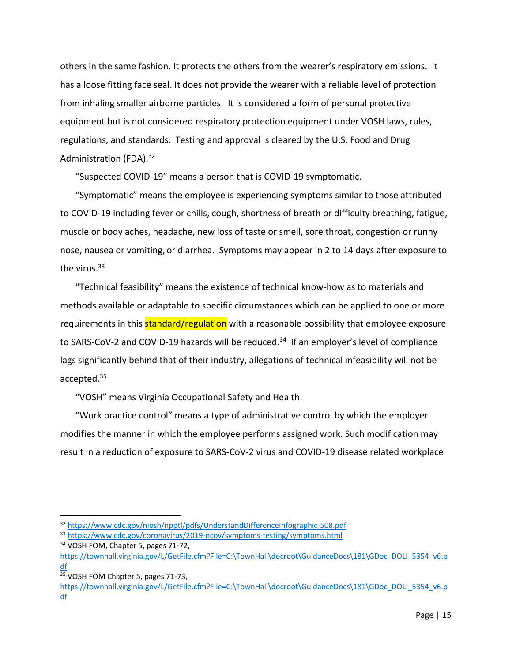others in the same fashion. It protects the others from the wearer's respiratory emissions. It has a loose fitting face seal. It does not provide the wearer with a reliable level of protection from inhaling smaller airborne particles. It is considered a form of personal protective equipment but is not considered respiratory protection equipment under VOSH laws, rules, regulations, and standards. Testing and approval is cleared by the U.S. Food and Drug Administration (FDA).<sup>32</sup>

"Suspected COVID-19" means a person that is COVID-19 symptomatic.

"Symptomatic" means the employee is experiencing symptoms similar to those attributed to COVID-19 including fever or chills, cough, shortness of breath or difficulty breathing, fatigue, muscle or body aches, headache, new loss of taste or smell, sore throat, congestion or runny nose, nausea or vomiting, or diarrhea. Symptoms may appear in 2 to 14 days after exposure to the virus.<sup>33</sup>

"Technical feasibility" means the existence of technical know-how as to materials and methods available or adaptable to specific circumstances which can be applied to one or more requirements in this **standard/regulation** with a reasonable possibility that employee exposure to SARS-CoV-2 and COVID-19 hazards will be reduced.<sup>34</sup> If an employer's level of compliance lags significantly behind that of their industry, allegations of technical infeasibility will not be accepted.<sup>35</sup>

"VOSH" means Virginia Occupational Safety and Health.

"Work practice control" means a type of administrative control by which the employer modifies the manner in which the employee performs assigned work. Such modification may result in a reduction of exposure to SARS-CoV-2 virus and COVID-19 disease related workplace

<sup>32</sup> <https://www.cdc.gov/niosh/npptl/pdfs/UnderstandDifferenceInfographic-508.pdf>

<sup>33</sup> <https://www.cdc.gov/coronavirus/2019-ncov/symptoms-testing/symptoms.html> <sup>34</sup> VOSH FOM, Chapter 5, pages 71-72,

[https://townhall.virginia.gov/L/GetFile.cfm?File=C:\TownHall\docroot\GuidanceDocs\181\GDoc\\_DOLI\\_5354\\_v6.p](https://townhall.virginia.gov/L/GetFile.cfm?File=C:/TownHall/docroot/GuidanceDocs/181/GDoc_DOLI_5354_v6.pdf) <u>[df](https://townhall.virginia.gov/L/GetFile.cfm?File=C:/TownHall/docroot/GuidanceDocs/181/GDoc_DOLI_5354_v6.pdf)</u>

<sup>35</sup> VOSH FOM Chapter 5, pages 71-73,

[https://townhall.virginia.gov/L/GetFile.cfm?File=C:\TownHall\docroot\GuidanceDocs\181\GDoc\\_DOLI\\_5354\\_v6.p](https://townhall.virginia.gov/L/GetFile.cfm?File=C:/TownHall/docroot/GuidanceDocs/181/GDoc_DOLI_5354_v6.pdf) [df](https://townhall.virginia.gov/L/GetFile.cfm?File=C:/TownHall/docroot/GuidanceDocs/181/GDoc_DOLI_5354_v6.pdf)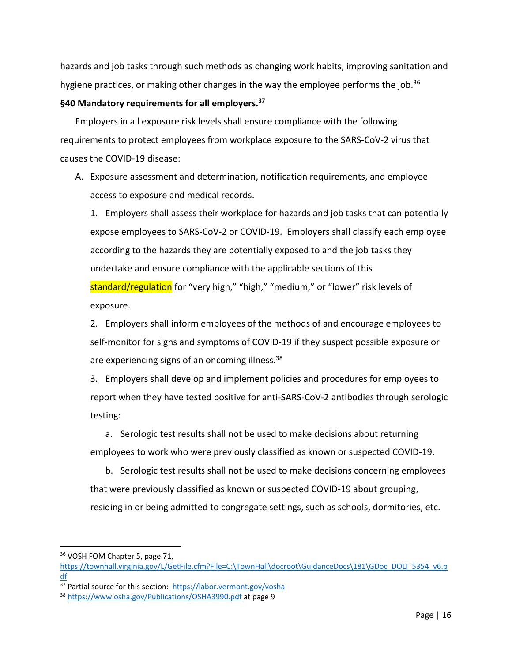hazards and job tasks through such methods as changing work habits, improving sanitation and hygiene practices, or making other changes in the way the employee performs the job.<sup>36</sup>

# **§40 Mandatory requirements for all employers. 37**

Employers in all exposure risk levels shall ensure compliance with the following requirements to protect employees from workplace exposure to the SARS-CoV-2 virus that causes the COVID-19 disease:

A. Exposure assessment and determination, notification requirements, and employee access to exposure and medical records.

1. Employers shall assess their workplace for hazards and job tasks that can potentially expose employees to SARS-CoV-2 or COVID-19. Employers shall classify each employee according to the hazards they are potentially exposed to and the job tasks they undertake and ensure compliance with the applicable sections of this standard/regulation for "very high," "high," "medium," or "lower" risk levels of exposure.

2. Employers shall inform employees of the methods of and encourage employees to self-monitor for signs and symptoms of COVID-19 if they suspect possible exposure or are experiencing signs of an oncoming illness.<sup>38</sup>

3. Employers shall develop and implement policies and procedures for employees to report when they have tested positive for anti-SARS-CoV-2 antibodies through serologic testing:

a. Serologic test results shall not be used to make decisions about returning employees to work who were previously classified as known or suspected COVID-19.

b. Serologic test results shall not be used to make decisions concerning employees that were previously classified as known or suspected COVID-19 about grouping, residing in or being admitted to congregate settings, such as schools, dormitories, etc.

<sup>36</sup> VOSH FOM Chapter 5, page 71,

[https://townhall.virginia.gov/L/GetFile.cfm?File=C:\TownHall\docroot\GuidanceDocs\181\GDoc\\_DOLI\\_5354\\_v6.p](https://townhall.virginia.gov/L/GetFile.cfm?File=C:/TownHall/docroot/GuidanceDocs/181/GDoc_DOLI_5354_v6.pdf) [df](https://townhall.virginia.gov/L/GetFile.cfm?File=C:/TownHall/docroot/GuidanceDocs/181/GDoc_DOLI_5354_v6.pdf)

<sup>37</sup> Partial source for this section:<https://labor.vermont.gov/vosha>

<sup>38</sup> <https://www.osha.gov/Publications/OSHA3990.pdf> at page 9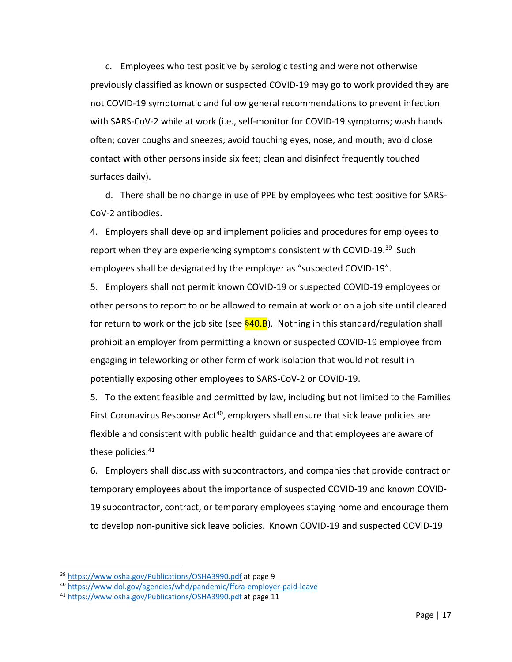c. Employees who test positive by serologic testing and were not otherwise previously classified as known or suspected COVID-19 may go to work provided they are not COVID-19 symptomatic and follow general recommendations to prevent infection with SARS-CoV-2 while at work (i.e., self-monitor for COVID-19 symptoms; wash hands often; cover coughs and sneezes; avoid touching eyes, nose, and mouth; avoid close contact with other persons inside six feet; clean and disinfect frequently touched surfaces daily).

d. There shall be no change in use of PPE by employees who test positive for SARS-CoV-2 antibodies.

4. Employers shall develop and implement policies and procedures for employees to report when they are experiencing symptoms consistent with COVID-19.<sup>39</sup> Such employees shall be designated by the employer as "suspected COVID-19".

5. Employers shall not permit known COVID-19 or suspected COVID-19 employees or other persons to report to or be allowed to remain at work or on a job site until cleared for return to work or the job site (see  $\S$ 40.B). Nothing in this standard/regulation shall prohibit an employer from permitting a known or suspected COVID-19 employee from engaging in teleworking or other form of work isolation that would not result in potentially exposing other employees to SARS-CoV-2 or COVID-19.

5. To the extent feasible and permitted by law, including but not limited to the Families First Coronavirus Response Act<sup>40</sup>, employers shall ensure that sick leave policies are flexible and consistent with public health guidance and that employees are aware of these policies.<sup>41</sup>

6. Employers shall discuss with subcontractors, and companies that provide contract or temporary employees about the importance of suspected COVID-19 and known COVID-19 subcontractor, contract, or temporary employees staying home and encourage them to develop non-punitive sick leave policies. Known COVID-19 and suspected COVID-19

<sup>39</sup> <https://www.osha.gov/Publications/OSHA3990.pdf> at page 9

<sup>40</sup> <https://www.dol.gov/agencies/whd/pandemic/ffcra-employer-paid-leave>

<sup>41</sup> <https://www.osha.gov/Publications/OSHA3990.pdf> at page 11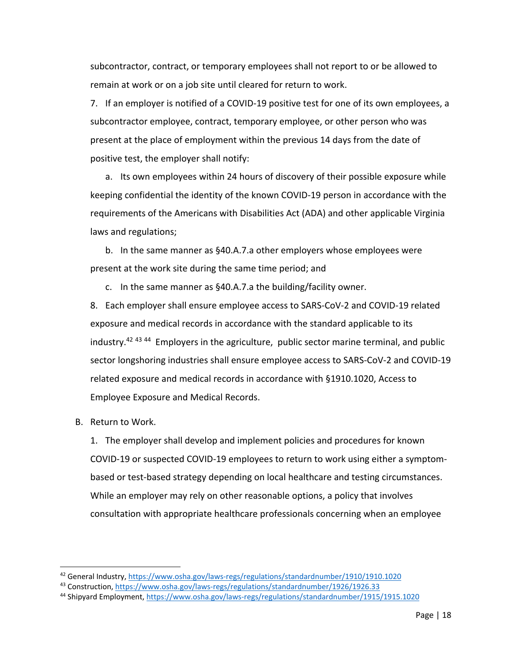subcontractor, contract, or temporary employees shall not report to or be allowed to remain at work or on a job site until cleared for return to work.

7. If an employer is notified of a COVID-19 positive test for one of its own employees, a subcontractor employee, contract, temporary employee, or other person who was present at the place of employment within the previous 14 days from the date of positive test, the employer shall notify:

a. Its own employees within 24 hours of discovery of their possible exposure while keeping confidential the identity of the known COVID-19 person in accordance with the requirements of the Americans with Disabilities Act (ADA) and other applicable Virginia laws and regulations;

b. In the same manner as §40.A.7.a other employers whose employees were present at the work site during the same time period; and

c. In the same manner as §40.A.7.a the building/facility owner.

8. Each employer shall ensure employee access to SARS-CoV-2 and COVID-19 related exposure and medical records in accordance with the standard applicable to its industry.<sup>42 43 44</sup> Employers in the agriculture, public sector marine terminal, and public sector longshoring industries shall ensure employee access to SARS-CoV-2 and COVID-19 related exposure and medical records in accordance with §1910.1020, Access to Employee Exposure and Medical Records.

B. Return to Work.

 $\overline{\phantom{a}}$ 

1. The employer shall develop and implement policies and procedures for known COVID-19 or suspected COVID-19 employees to return to work using either a symptombased or test-based strategy depending on local healthcare and testing circumstances. While an employer may rely on other reasonable options, a policy that involves consultation with appropriate healthcare professionals concerning when an employee

<sup>42</sup> General Industry[, https://www.osha.gov/laws-regs/regulations/standardnumber/1910/1910.1020](https://www.osha.gov/laws-regs/regulations/standardnumber/1910/1910.1020)

<sup>43</sup> Construction,<https://www.osha.gov/laws-regs/regulations/standardnumber/1926/1926.33>

<sup>44</sup> Shipyard Employment,<https://www.osha.gov/laws-regs/regulations/standardnumber/1915/1915.1020>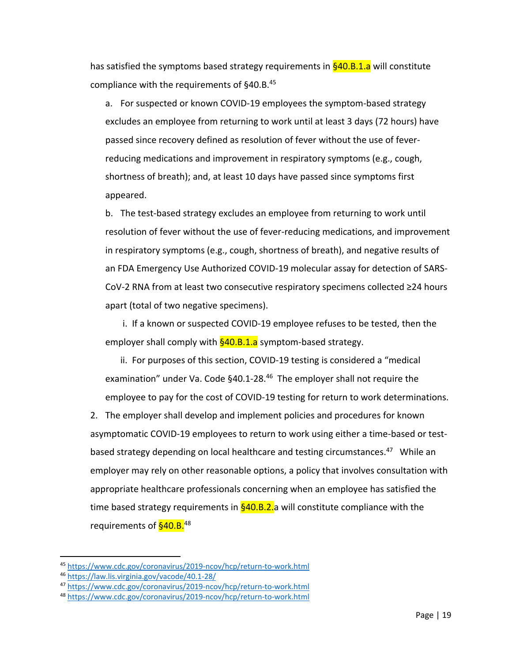has satisfied the symptoms based strategy requirements in §40.B.1.a will constitute compliance with the requirements of §40.B.<sup>45</sup>

a. For suspected or known COVID-19 employees the symptom-based strategy excludes an employee from returning to work until at least 3 days (72 hours) have passed since recovery defined as resolution of fever without the use of feverreducing medications and improvement in respiratory symptoms (e.g., cough, shortness of breath); and, at least 10 days have passed since symptoms first appeared.

b. The test-based strategy excludes an employee from returning to work until resolution of fever without the use of fever-reducing medications, and improvement in respiratory symptoms (e.g., cough, shortness of breath), and negative results of an FDA Emergency Use Authorized COVID-19 molecular assay for detection of SARS-CoV-2 RNA from at least two consecutive respiratory specimens collected ≥24 hours apart (total of two negative specimens).

i. If a known or suspected COVID-19 employee refuses to be tested, then the employer shall comply with  $\frac{640. B.1. a}{2}$  symptom-based strategy.

ii. For purposes of this section, COVID-19 testing is considered a "medical examination" under Va. Code §40.1-28.<sup>46</sup> The employer shall not require the employee to pay for the cost of COVID-19 testing for return to work determinations.

2. The employer shall develop and implement policies and procedures for known asymptomatic COVID-19 employees to return to work using either a time-based or testbased strategy depending on local healthcare and testing circumstances.<sup>47</sup> While an employer may rely on other reasonable options, a policy that involves consultation with appropriate healthcare professionals concerning when an employee has satisfied the time based strategy requirements in  $\S$ 40.B.2.a will constitute compliance with the requirements of **§40.B.**<sup>48</sup>

<sup>45</sup> <https://www.cdc.gov/coronavirus/2019-ncov/hcp/return-to-work.html>

<sup>46</sup> <https://law.lis.virginia.gov/vacode/40.1-28/>

<sup>47</sup> <https://www.cdc.gov/coronavirus/2019-ncov/hcp/return-to-work.html>

<sup>48</sup> <https://www.cdc.gov/coronavirus/2019-ncov/hcp/return-to-work.html>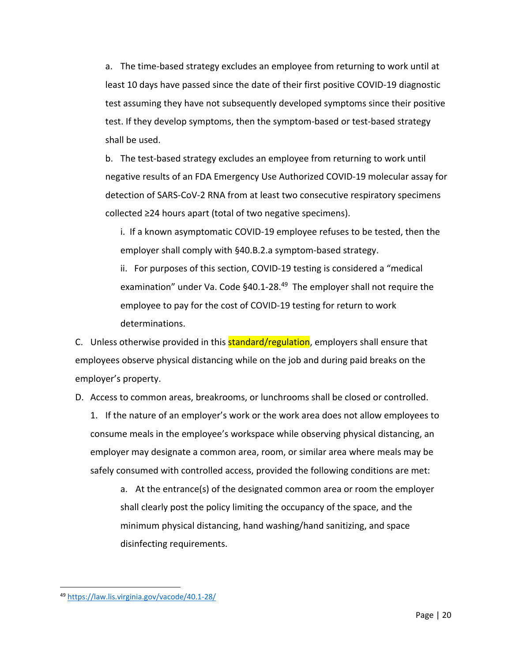a. The time-based strategy excludes an employee from returning to work until at least 10 days have passed since the date of their first positive COVID-19 diagnostic test assuming they have not subsequently developed symptoms since their positive test. If they develop symptoms, then the symptom-based or test-based strategy shall be used.

b. The test-based strategy excludes an employee from returning to work until negative results of an FDA Emergency Use Authorized COVID-19 molecular assay for detection of SARS-CoV-2 RNA from at least two consecutive respiratory specimens collected ≥24 hours apart (total of two negative specimens).

i. If a known asymptomatic COVID-19 employee refuses to be tested, then the employer shall comply with §40.B.2.a symptom-based strategy.

ii. For purposes of this section, COVID-19 testing is considered a "medical examination" under Va. Code §40.1-28.<sup>49</sup> The employer shall not require the employee to pay for the cost of COVID-19 testing for return to work determinations.

C. Unless otherwise provided in this **standard/regulation**, employers shall ensure that employees observe physical distancing while on the job and during paid breaks on the employer's property.

D. Access to common areas, breakrooms, or lunchrooms shall be closed or controlled.

1. If the nature of an employer's work or the work area does not allow employees to consume meals in the employee's workspace while observing physical distancing, an employer may designate a common area, room, or similar area where meals may be safely consumed with controlled access, provided the following conditions are met:

a. At the entrance(s) of the designated common area or room the employer shall clearly post the policy limiting the occupancy of the space, and the minimum physical distancing, hand washing/hand sanitizing, and space disinfecting requirements.

<sup>49</sup> <https://law.lis.virginia.gov/vacode/40.1-28/>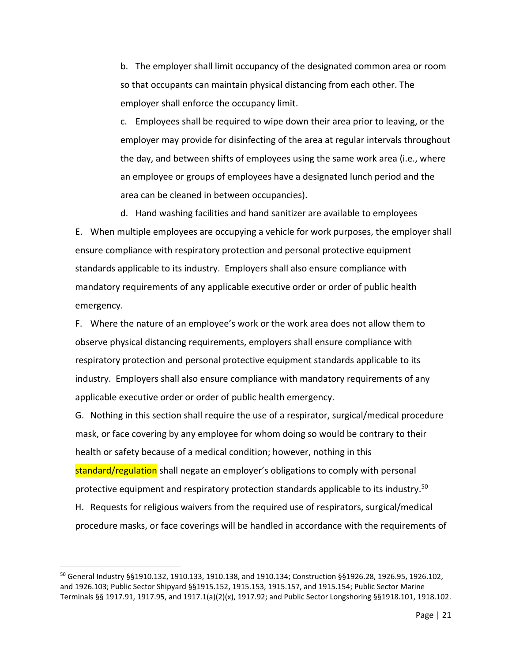b. The employer shall limit occupancy of the designated common area or room so that occupants can maintain physical distancing from each other. The employer shall enforce the occupancy limit.

c. Employees shall be required to wipe down their area prior to leaving, or the employer may provide for disinfecting of the area at regular intervals throughout the day, and between shifts of employees using the same work area (i.e., where an employee or groups of employees have a designated lunch period and the area can be cleaned in between occupancies).

d. Hand washing facilities and hand sanitizer are available to employees E. When multiple employees are occupying a vehicle for work purposes, the employer shall ensure compliance with respiratory protection and personal protective equipment standards applicable to its industry. Employers shall also ensure compliance with mandatory requirements of any applicable executive order or order of public health emergency.

F. Where the nature of an employee's work or the work area does not allow them to observe physical distancing requirements, employers shall ensure compliance with respiratory protection and personal protective equipment standards applicable to its industry. Employers shall also ensure compliance with mandatory requirements of any applicable executive order or order of public health emergency.

G. Nothing in this section shall require the use of a respirator, surgical/medical procedure mask, or face covering by any employee for whom doing so would be contrary to their health or safety because of a medical condition; however, nothing in this

standard/regulation shall negate an employer's obligations to comply with personal protective equipment and respiratory protection standards applicable to its industry. 50

H. Requests for religious waivers from the required use of respirators, surgical/medical procedure masks, or face coverings will be handled in accordance with the requirements of

<sup>50</sup> General Industry §§1910.132, 1910.133, 1910.138, and 1910.134; Construction §§1926.28, 1926.95, 1926.102, and 1926.103; Public Sector Shipyard §§1915.152, 1915.153, 1915.157, and 1915.154; Public Sector Marine Terminals §§ 1917.91, 1917.95, and 1917.1(a)(2)(x), 1917.92; and Public Sector Longshoring §§1918.101, 1918.102.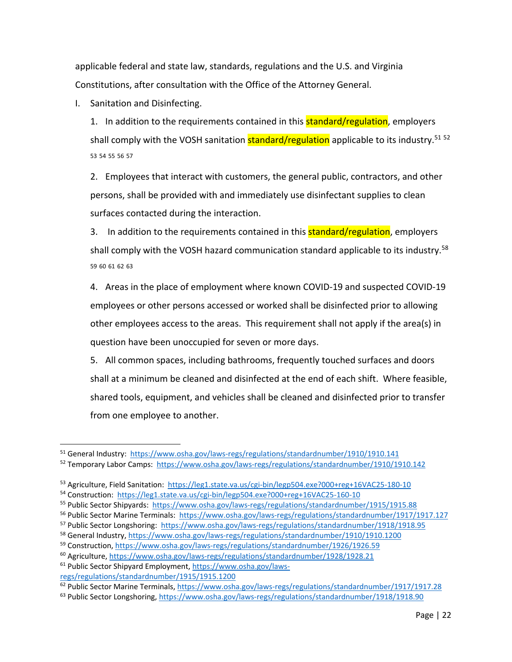applicable federal and state law, standards, regulations and the U.S. and Virginia Constitutions, after consultation with the Office of the Attorney General.

I. Sanitation and Disinfecting.

1. In addition to the requirements contained in this **standard/regulation**, employers shall comply with the VOSH sanitation **standard/regulation** applicable to its industry.<sup>51 52</sup> 53 54 55 56 57

2. Employees that interact with customers, the general public, contractors, and other persons, shall be provided with and immediately use disinfectant supplies to clean surfaces contacted during the interaction.

3. In addition to the requirements contained in this **standard/regulation**, employers shall comply with the VOSH hazard communication standard applicable to its industry. $58$ 59 60 61 62 63

4. Areas in the place of employment where known COVID-19 and suspected COVID-19 employees or other persons accessed or worked shall be disinfected prior to allowing other employees access to the areas. This requirement shall not apply if the area(s) in question have been unoccupied for seven or more days.

5. All common spaces, including bathrooms, frequently touched surfaces and doors shall at a minimum be cleaned and disinfected at the end of each shift. Where feasible, shared tools, equipment, and vehicles shall be cleaned and disinfected prior to transfer from one employee to another.

l

<sup>51</sup> General Industry: <https://www.osha.gov/laws-regs/regulations/standardnumber/1910/1910.141>

<sup>52</sup> Temporary Labor Camps:<https://www.osha.gov/laws-regs/regulations/standardnumber/1910/1910.142>

<sup>53</sup> Agriculture, Field Sanitation: <https://leg1.state.va.us/cgi-bin/legp504.exe?000+reg+16VAC25-180-10>

<sup>54</sup> Construction:<https://leg1.state.va.us/cgi-bin/legp504.exe?000+reg+16VAC25-160-10>

<sup>55</sup> Public Sector Shipyards:<https://www.osha.gov/laws-regs/regulations/standardnumber/1915/1915.88>

<sup>56</sup> Public Sector Marine Terminals:<https://www.osha.gov/laws-regs/regulations/standardnumber/1917/1917.127>

<sup>57</sup> Public Sector Longshoring:<https://www.osha.gov/laws-regs/regulations/standardnumber/1918/1918.95>

<sup>58</sup> General Industry[, https://www.osha.gov/laws-regs/regulations/standardnumber/1910/1910.1200](https://www.osha.gov/laws-regs/regulations/standardnumber/1910/1910.1200)

<sup>59</sup> Construction,<https://www.osha.gov/laws-regs/regulations/standardnumber/1926/1926.59>

<sup>60</sup> Agriculture[, https://www.osha.gov/laws-regs/regulations/standardnumber/1928/1928.21](https://www.osha.gov/laws-regs/regulations/standardnumber/1928/1928.21)

<sup>61</sup> Public Sector Shipyard Employment, [https://www.osha.gov/laws](https://www.osha.gov/laws-regs/regulations/standardnumber/1915/1915.1200)[regs/regulations/standardnumber/1915/1915.1200](https://www.osha.gov/laws-regs/regulations/standardnumber/1915/1915.1200)

<sup>62</sup> Public Sector Marine Terminals,<https://www.osha.gov/laws-regs/regulations/standardnumber/1917/1917.28>

<sup>63</sup> Public Sector Longshoring,<https://www.osha.gov/laws-regs/regulations/standardnumber/1918/1918.90>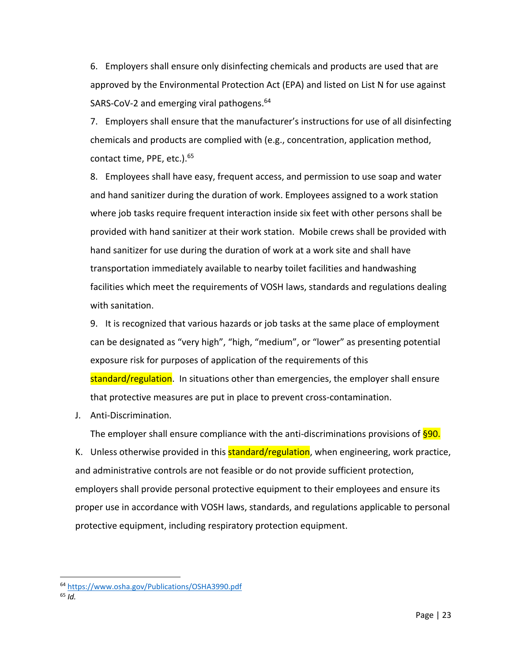6. Employers shall ensure only disinfecting chemicals and products are used that are approved by the Environmental Protection Act (EPA) and listed on List N for use against SARS-CoV-2 and emerging viral pathogens.<sup>64</sup>

7. Employers shall ensure that the manufacturer's instructions for use of all disinfecting chemicals and products are complied with (e.g., concentration, application method, contact time, PPE, etc.).<sup>65</sup>

8. Employees shall have easy, frequent access, and permission to use soap and water and hand sanitizer during the duration of work. Employees assigned to a work station where job tasks require frequent interaction inside six feet with other persons shall be provided with hand sanitizer at their work station. Mobile crews shall be provided with hand sanitizer for use during the duration of work at a work site and shall have transportation immediately available to nearby toilet facilities and handwashing facilities which meet the requirements of VOSH laws, standards and regulations dealing with sanitation.

9. It is recognized that various hazards or job tasks at the same place of employment can be designated as "very high", "high, "medium", or "lower" as presenting potential exposure risk for purposes of application of the requirements of this standard/regulation. In situations other than emergencies, the employer shall ensure that protective measures are put in place to prevent cross-contamination.

J. Anti-Discrimination.

The employer shall ensure compliance with the anti-discriminations provisions of  $§90$ . K. Unless otherwise provided in this **standard/regulation**, when engineering, work practice, and administrative controls are not feasible or do not provide sufficient protection, employers shall provide personal protective equipment to their employees and ensure its proper use in accordance with VOSH laws, standards, and regulations applicable to personal protective equipment, including respiratory protection equipment.

<sup>64</sup> <https://www.osha.gov/Publications/OSHA3990.pdf>

<sup>65</sup> *Id.*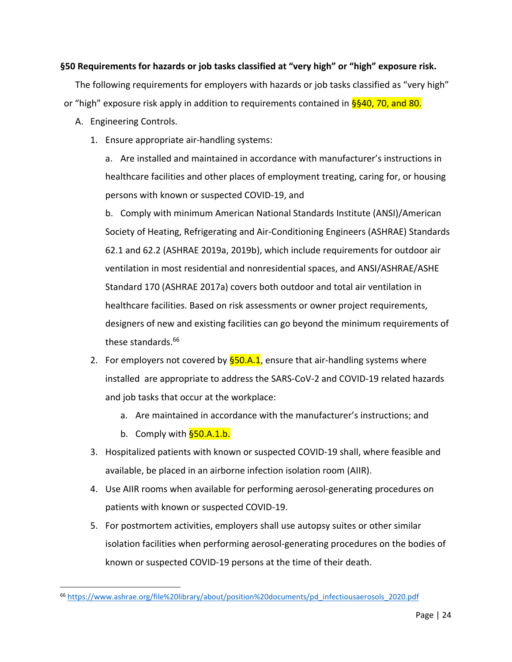## **§50 Requirements for hazards or job tasks classified at "very high" or "high" exposure risk.**

The following requirements for employers with hazards or job tasks classified as "very high" or "high" exposure risk apply in addition to requirements contained in  $\S$ §40, 70, and 80.

- A. Engineering Controls.
	- 1. Ensure appropriate air-handling systems:

a. Are installed and maintained in accordance with manufacturer's instructions in healthcare facilities and other places of employment treating, caring for, or housing persons with known or suspected COVID-19, and

b. Comply with minimum American National Standards Institute (ANSI)/American Society of Heating, Refrigerating and Air-Conditioning Engineers (ASHRAE) Standards 62.1 and 62.2 (ASHRAE 2019a, 2019b), which include requirements for outdoor air ventilation in most residential and nonresidential spaces, and ANSI/ASHRAE/ASHE Standard 170 (ASHRAE 2017a) covers both outdoor and total air ventilation in healthcare facilities. Based on risk assessments or owner project requirements, designers of new and existing facilities can go beyond the minimum requirements of these standards.<sup>66</sup>

- 2. For employers not covered by  $\S$ 50.A.1, ensure that air-handling systems where installed are appropriate to address the SARS-CoV-2 and COVID-19 related hazards and job tasks that occur at the workplace:
	- a. Are maintained in accordance with the manufacturer's instructions; and
	- b. Comply with **§50.A.1.b.**

- 3. Hospitalized patients with known or suspected COVID-19 shall, where feasible and available, be placed in an airborne infection isolation room (AIIR).
- 4. Use AIIR rooms when available for performing aerosol-generating procedures on patients with known or suspected COVID-19.
- 5. For postmortem activities, employers shall use autopsy suites or other similar isolation facilities when performing aerosol-generating procedures on the bodies of known or suspected COVID-19 persons at the time of their death.

<sup>66</sup> [https://www.ashrae.org/file%20library/about/position%20documents/pd\\_infectiousaerosols\\_2020.pdf](https://www.ashrae.org/file%20library/about/position%20documents/pd_infectiousaerosols_2020.pdf)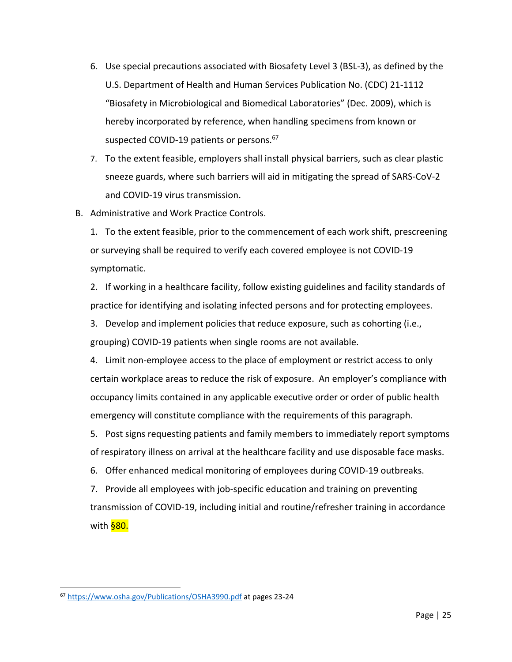- 6. Use special precautions associated with Biosafety Level 3 (BSL-3), as defined by the U.S. Department of Health and Human Services Publication No. (CDC) 21-1112 "Biosafety in Microbiological and Biomedical Laboratories" (Dec. 2009), which is hereby incorporated by reference, when handling specimens from known or suspected COVID-19 patients or persons.<sup>67</sup>
- 7. To the extent feasible, employers shall install physical barriers, such as clear plastic sneeze guards, where such barriers will aid in mitigating the spread of SARS-CoV-2 and COVID-19 virus transmission.
- B. Administrative and Work Practice Controls.
	- 1. To the extent feasible, prior to the commencement of each work shift, prescreening or surveying shall be required to verify each covered employee is not COVID-19 symptomatic.

2. If working in a healthcare facility, follow existing guidelines and facility standards of practice for identifying and isolating infected persons and for protecting employees.

3. Develop and implement policies that reduce exposure, such as cohorting (i.e., grouping) COVID-19 patients when single rooms are not available.

4. Limit non-employee access to the place of employment or restrict access to only certain workplace areas to reduce the risk of exposure. An employer's compliance with occupancy limits contained in any applicable executive order or order of public health emergency will constitute compliance with the requirements of this paragraph.

5. Post signs requesting patients and family members to immediately report symptoms of respiratory illness on arrival at the healthcare facility and use disposable face masks.

6. Offer enhanced medical monitoring of employees during COVID-19 outbreaks.

7. Provide all employees with job-specific education and training on preventing transmission of COVID-19, including initial and routine/refresher training in accordance with <mark>§80.</mark>

<sup>67</sup> <https://www.osha.gov/Publications/OSHA3990.pdf> at pages 23-24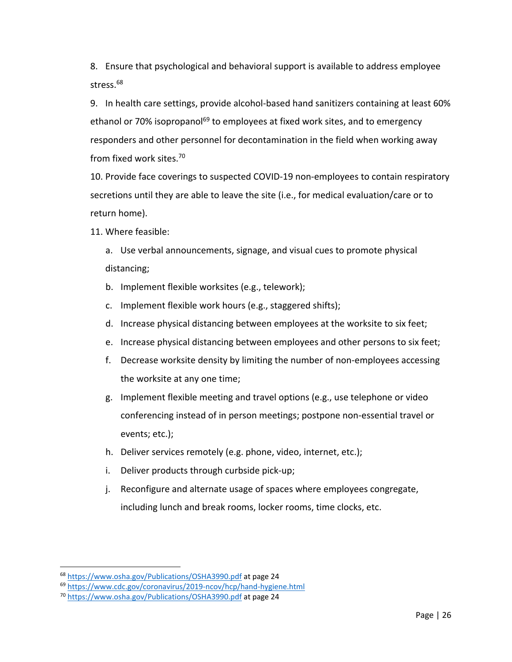8. Ensure that psychological and behavioral support is available to address employee stress.<sup>68</sup>

9. In health care settings, provide alcohol-based hand sanitizers containing at least 60% ethanol or 70% isopropanol<sup>69</sup> to employees at fixed work sites, and to emergency responders and other personnel for decontamination in the field when working away from fixed work sites. 70

10. Provide face coverings to suspected COVID-19 non-employees to contain respiratory secretions until they are able to leave the site (i.e., for medical evaluation/care or to return home).

11. Where feasible:

- a. Use verbal announcements, signage, and visual cues to promote physical distancing;
- b. Implement flexible worksites (e.g., telework);
- c. Implement flexible work hours (e.g., staggered shifts);
- d. Increase physical distancing between employees at the worksite to six feet;
- e. Increase physical distancing between employees and other persons to six feet;
- f. Decrease worksite density by limiting the number of non-employees accessing the worksite at any one time;
- g. Implement flexible meeting and travel options (e.g., use telephone or video conferencing instead of in person meetings; postpone non-essential travel or events; etc.);
- h. Deliver services remotely (e.g. phone, video, internet, etc.);
- i. Deliver products through curbside pick-up;
- j. Reconfigure and alternate usage of spaces where employees congregate, including lunch and break rooms, locker rooms, time clocks, etc.

<sup>68</sup> <https://www.osha.gov/Publications/OSHA3990.pdf> at page 24

<sup>69</sup> <https://www.cdc.gov/coronavirus/2019-ncov/hcp/hand-hygiene.html>

<sup>70</sup> <https://www.osha.gov/Publications/OSHA3990.pdf> at page 24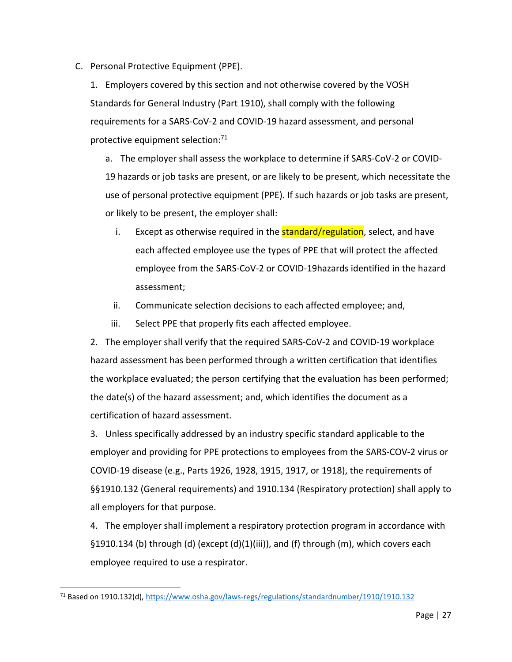C. Personal Protective Equipment (PPE).

1. Employers covered by this section and not otherwise covered by the VOSH Standards for General Industry (Part 1910), shall comply with the following requirements for a SARS-CoV-2 and COVID-19 hazard assessment, and personal protective equipment selection:<sup>71</sup>

a. The employer shall assess the workplace to determine if SARS-CoV-2 or COVID-19 hazards or job tasks are present, or are likely to be present, which necessitate the use of personal protective equipment (PPE). If such hazards or job tasks are present, or likely to be present, the employer shall:

- i. Except as otherwise required in the **standard/regulation**, select, and have each affected employee use the types of PPE that will protect the affected employee from the SARS-CoV-2 or COVID-19hazards identified in the hazard assessment;
- ii. Communicate selection decisions to each affected employee; and,
- iii. Select PPE that properly fits each affected employee.

2. The employer shall verify that the required SARS-CoV-2 and COVID-19 workplace hazard assessment has been performed through a written certification that identifies the workplace evaluated; the person certifying that the evaluation has been performed; the date(s) of the hazard assessment; and, which identifies the document as a certification of hazard assessment.

3. Unless specifically addressed by an industry specific standard applicable to the employer and providing for PPE protections to employees from the SARS-COV-2 virus or COVID-19 disease (e.g., Parts 1926, 1928, 1915, 1917, or 1918), the requirements of §§1910.132 (General requirements) and 1910.134 (Respiratory protection) shall apply to all employers for that purpose.

4. The employer shall implement a respiratory protection program in accordance with §1910.134 (b) through (d) (except  $(d)(1)(iii)$ ), and (f) through (m), which covers each employee required to use a respirator.

<sup>71</sup> Based on 1910.132(d)[, https://www.osha.gov/laws-regs/regulations/standardnumber/1910/1910.132](https://www.osha.gov/laws-regs/regulations/standardnumber/1910/1910.132)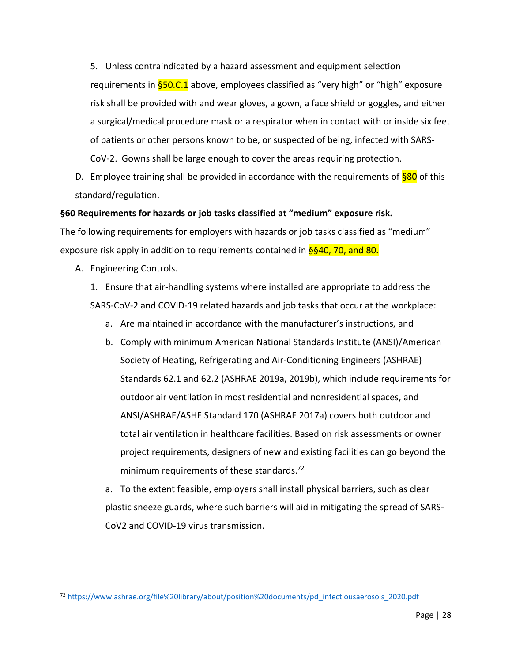5. Unless contraindicated by a hazard assessment and equipment selection requirements in **§50.C.1** above, employees classified as "very high" or "high" exposure risk shall be provided with and wear gloves, a gown, a face shield or goggles, and either a surgical/medical procedure mask or a respirator when in contact with or inside six feet of patients or other persons known to be, or suspected of being, infected with SARS-CoV-2. Gowns shall be large enough to cover the areas requiring protection.

D. Employee training shall be provided in accordance with the requirements of  $$80$  of this standard/regulation.

#### **§60 Requirements for hazards or job tasks classified at "medium" exposure risk.**

The following requirements for employers with hazards or job tasks classified as "medium" exposure risk apply in addition to requirements contained in  $\frac{6}{9}40$ , 70, and 80.

A. Engineering Controls.

 $\overline{a}$ 

1. Ensure that air-handling systems where installed are appropriate to address the SARS-CoV-2 and COVID-19 related hazards and job tasks that occur at the workplace:

- a. Are maintained in accordance with the manufacturer's instructions, and
- b. Comply with minimum American National Standards Institute (ANSI)/American Society of Heating, Refrigerating and Air-Conditioning Engineers (ASHRAE) Standards 62.1 and 62.2 (ASHRAE 2019a, 2019b), which include requirements for outdoor air ventilation in most residential and nonresidential spaces, and ANSI/ASHRAE/ASHE Standard 170 (ASHRAE 2017a) covers both outdoor and total air ventilation in healthcare facilities. Based on risk assessments or owner project requirements, designers of new and existing facilities can go beyond the minimum requirements of these standards.<sup>72</sup>
- a. To the extent feasible, employers shall install physical barriers, such as clear plastic sneeze guards, where such barriers will aid in mitigating the spread of SARS-CoV2 and COVID-19 virus transmission.

<sup>72</sup> [https://www.ashrae.org/file%20library/about/position%20documents/pd\\_infectiousaerosols\\_2020.pdf](https://www.ashrae.org/file%20library/about/position%20documents/pd_infectiousaerosols_2020.pdf)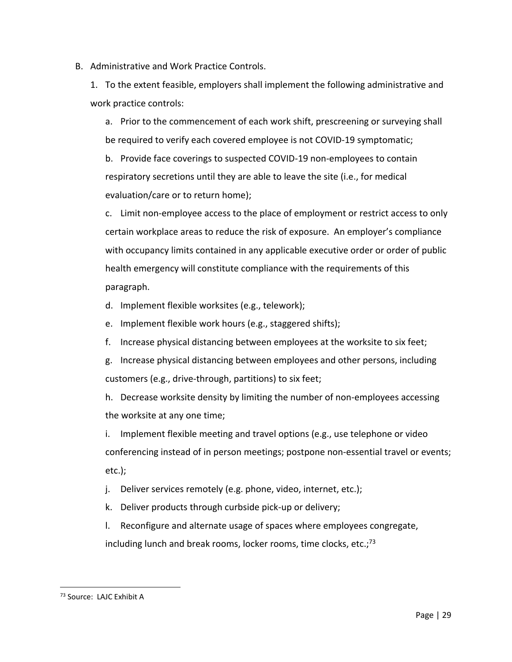B. Administrative and Work Practice Controls.

1. To the extent feasible, employers shall implement the following administrative and work practice controls:

a. Prior to the commencement of each work shift, prescreening or surveying shall be required to verify each covered employee is not COVID-19 symptomatic;

b. Provide face coverings to suspected COVID-19 non-employees to contain respiratory secretions until they are able to leave the site (i.e., for medical evaluation/care or to return home);

c. Limit non-employee access to the place of employment or restrict access to only certain workplace areas to reduce the risk of exposure. An employer's compliance with occupancy limits contained in any applicable executive order or order of public health emergency will constitute compliance with the requirements of this paragraph.

d. Implement flexible worksites (e.g., telework);

e. Implement flexible work hours (e.g., staggered shifts);

- f. Increase physical distancing between employees at the worksite to six feet;
- g. Increase physical distancing between employees and other persons, including customers (e.g., drive-through, partitions) to six feet;

h. Decrease worksite density by limiting the number of non-employees accessing the worksite at any one time;

i. Implement flexible meeting and travel options (e.g., use telephone or video conferencing instead of in person meetings; postpone non-essential travel or events; etc.);

j. Deliver services remotely (e.g. phone, video, internet, etc.);

k. Deliver products through curbside pick-up or delivery;

l. Reconfigure and alternate usage of spaces where employees congregate, including lunch and break rooms, locker rooms, time clocks, etc.; $^{73}$ 

<sup>73</sup> Source: LAJC Exhibit A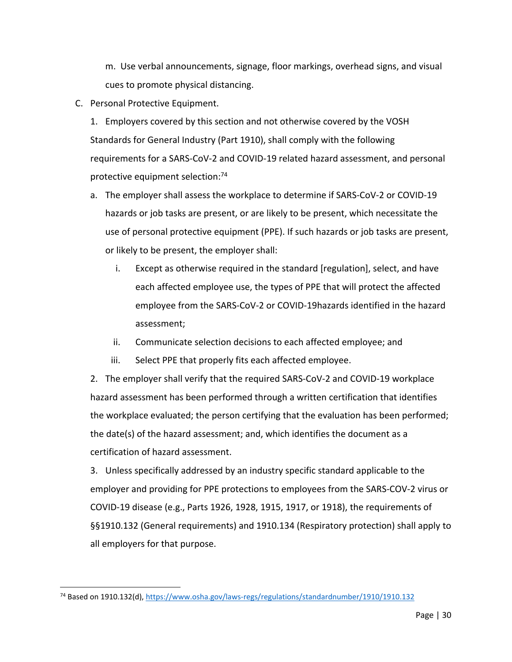m. Use verbal announcements, signage, floor markings, overhead signs, and visual cues to promote physical distancing.

- C. Personal Protective Equipment.
	- 1. Employers covered by this section and not otherwise covered by the VOSH Standards for General Industry (Part 1910), shall comply with the following requirements for a SARS-CoV-2 and COVID-19 related hazard assessment, and personal protective equipment selection:<sup>74</sup>
	- a. The employer shall assess the workplace to determine if SARS-CoV-2 or COVID-19 hazards or job tasks are present, or are likely to be present, which necessitate the use of personal protective equipment (PPE). If such hazards or job tasks are present, or likely to be present, the employer shall:
		- i. Except as otherwise required in the standard [regulation], select, and have each affected employee use, the types of PPE that will protect the affected employee from the SARS-CoV-2 or COVID-19hazards identified in the hazard assessment;
		- ii. Communicate selection decisions to each affected employee; and
		- iii. Select PPE that properly fits each affected employee.

2. The employer shall verify that the required SARS-CoV-2 and COVID-19 workplace hazard assessment has been performed through a written certification that identifies the workplace evaluated; the person certifying that the evaluation has been performed; the date(s) of the hazard assessment; and, which identifies the document as a certification of hazard assessment.

3. Unless specifically addressed by an industry specific standard applicable to the employer and providing for PPE protections to employees from the SARS-COV-2 virus or COVID-19 disease (e.g., Parts 1926, 1928, 1915, 1917, or 1918), the requirements of §§1910.132 (General requirements) and 1910.134 (Respiratory protection) shall apply to all employers for that purpose.

<sup>74</sup> Based on 1910.132(d)[, https://www.osha.gov/laws-regs/regulations/standardnumber/1910/1910.132](https://www.osha.gov/laws-regs/regulations/standardnumber/1910/1910.132)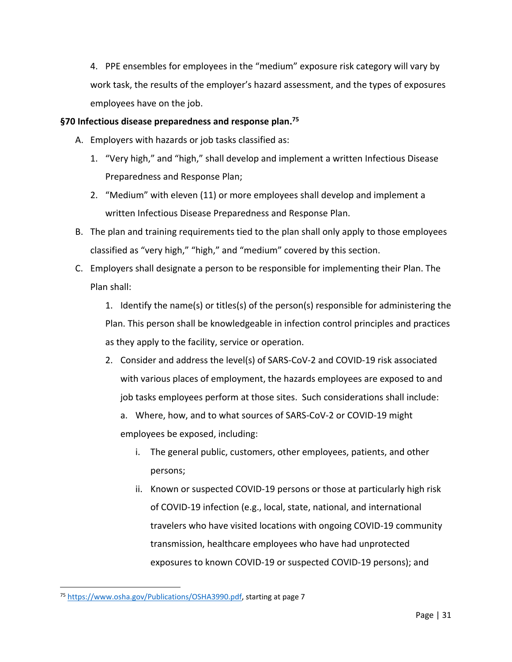4. PPE ensembles for employees in the "medium" exposure risk category will vary by work task, the results of the employer's hazard assessment, and the types of exposures employees have on the job.

## **§70 Infectious disease preparedness and response plan. 75**

- A. Employers with hazards or job tasks classified as:
	- 1. "Very high," and "high," shall develop and implement a written Infectious Disease Preparedness and Response Plan;
	- 2. "Medium" with eleven (11) or more employees shall develop and implement a written Infectious Disease Preparedness and Response Plan.
- B. The plan and training requirements tied to the plan shall only apply to those employees classified as "very high," "high," and "medium" covered by this section.
- C. Employers shall designate a person to be responsible for implementing their Plan. The Plan shall:

1. Identify the name(s) or titles(s) of the person(s) responsible for administering the Plan. This person shall be knowledgeable in infection control principles and practices as they apply to the facility, service or operation.

2. Consider and address the level(s) of SARS-CoV-2 and COVID-19 risk associated with various places of employment, the hazards employees are exposed to and job tasks employees perform at those sites. Such considerations shall include:

a. Where, how, and to what sources of SARS-CoV-2 or COVID-19 might employees be exposed, including:

- i. The general public, customers, other employees, patients, and other persons;
- ii. Known or suspected COVID-19 persons or those at particularly high risk of COVID-19 infection (e.g., local, state, national, and international travelers who have visited locations with ongoing COVID-19 community transmission, healthcare employees who have had unprotected exposures to known COVID-19 or suspected COVID-19 persons); and

<sup>75</sup> [https://www.osha.gov/Publications/OSHA3990.pdf,](https://www.osha.gov/Publications/OSHA3990.pdf) starting at page 7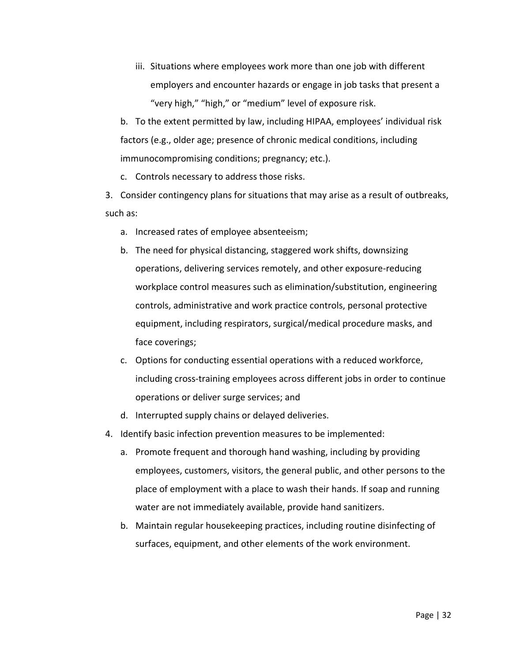iii. Situations where employees work more than one job with different employers and encounter hazards or engage in job tasks that present a "very high," "high," or "medium" level of exposure risk.

b. To the extent permitted by law, including HIPAA, employees' individual risk factors (e.g., older age; presence of chronic medical conditions, including immunocompromising conditions; pregnancy; etc.).

c. Controls necessary to address those risks.

3. Consider contingency plans for situations that may arise as a result of outbreaks, such as:

- a. Increased rates of employee absenteeism;
- b. The need for physical distancing, staggered work shifts, downsizing operations, delivering services remotely, and other exposure-reducing workplace control measures such as elimination/substitution, engineering controls, administrative and work practice controls, personal protective equipment, including respirators, surgical/medical procedure masks, and face coverings;
- c. Options for conducting essential operations with a reduced workforce, including cross-training employees across different jobs in order to continue operations or deliver surge services; and
- d. Interrupted supply chains or delayed deliveries.
- 4. Identify basic infection prevention measures to be implemented:
	- a. Promote frequent and thorough hand washing, including by providing employees, customers, visitors, the general public, and other persons to the place of employment with a place to wash their hands. If soap and running water are not immediately available, provide hand sanitizers.
	- b. Maintain regular housekeeping practices, including routine disinfecting of surfaces, equipment, and other elements of the work environment.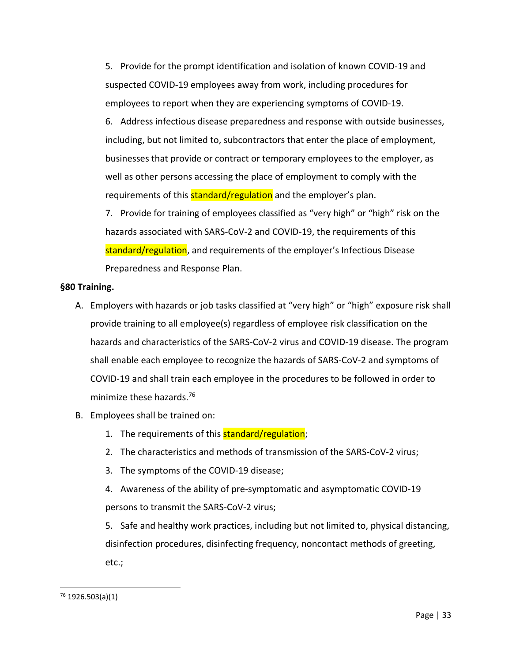5. Provide for the prompt identification and isolation of known COVID-19 and suspected COVID-19 employees away from work, including procedures for employees to report when they are experiencing symptoms of COVID-19.

6. Address infectious disease preparedness and response with outside businesses, including, but not limited to, subcontractors that enter the place of employment, businesses that provide or contract or temporary employees to the employer, as well as other persons accessing the place of employment to comply with the requirements of this **standard/regulation** and the employer's plan.

7. Provide for training of employees classified as "very high" or "high" risk on the hazards associated with SARS-CoV-2 and COVID-19, the requirements of this standard/regulation, and requirements of the employer's Infectious Disease Preparedness and Response Plan.

## **§80 Training.**

- A. Employers with hazards or job tasks classified at "very high" or "high" exposure risk shall provide training to all employee(s) regardless of employee risk classification on the hazards and characteristics of the SARS-CoV-2 virus and COVID-19 disease. The program shall enable each employee to recognize the hazards of SARS-CoV-2 and symptoms of COVID-19 and shall train each employee in the procedures to be followed in order to minimize these hazards.<sup>76</sup>
- B. Employees shall be trained on:
	- 1. The requirements of this **standard/regulation**;
	- 2. The characteristics and methods of transmission of the SARS-CoV-2 virus;
	- 3. The symptoms of the COVID-19 disease;

4. Awareness of the ability of pre-symptomatic and asymptomatic COVID-19 persons to transmit the SARS-CoV-2 virus;

5. Safe and healthy work practices, including but not limited to, physical distancing, disinfection procedures, disinfecting frequency, noncontact methods of greeting, etc.;

 $76$  1926.503(a)(1)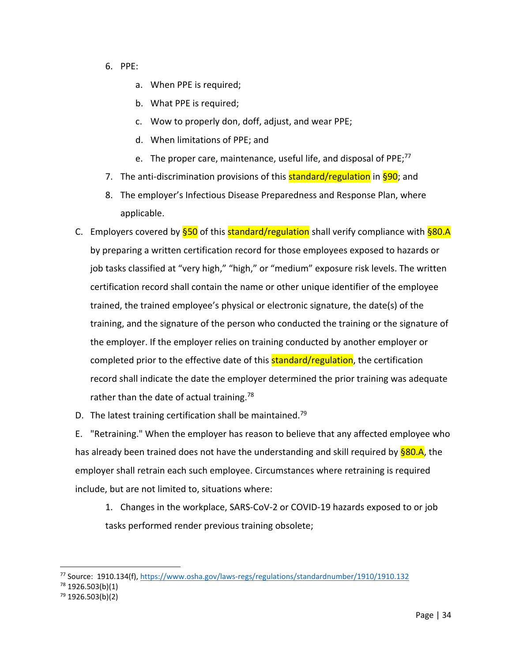- 6. PPE:
	- a. When PPE is required;
	- b. What PPE is required;
	- c. Wow to properly don, doff, adjust, and wear PPE;
	- d. When limitations of PPE; and
	- e. The proper care, maintenance, useful life, and disposal of PPE;<sup>77</sup>
- 7. The anti-discrimination provisions of this **standard/regulation** in §90; and
- 8. The employer's Infectious Disease Preparedness and Response Plan, where applicable.
- C. Employers covered by  $\S 50$  of this standard/regulation shall verify compliance with  $\S 80.A$ by preparing a written certification record for those employees exposed to hazards or job tasks classified at "very high," "high," or "medium" exposure risk levels. The written certification record shall contain the name or other unique identifier of the employee trained, the trained employee's physical or electronic signature, the date(s) of the training, and the signature of the person who conducted the training or the signature of the employer. If the employer relies on training conducted by another employer or completed prior to the effective date of this **standard/regulation**, the certification record shall indicate the date the employer determined the prior training was adequate rather than the date of actual training.<sup>78</sup>
- D. The latest training certification shall be maintained.<sup>79</sup>

E. "Retraining." When the employer has reason to believe that any affected employee who has already been trained does not have the understanding and skill required by §80.A, the employer shall retrain each such employee. Circumstances where retraining is required include, but are not limited to, situations where:

1. Changes in the workplace, SARS-CoV-2 or COVID-19 hazards exposed to or job tasks performed render previous training obsolete;

<sup>77</sup> Source: 1910.134(f)[, https://www.osha.gov/laws-regs/regulations/standardnumber/1910/1910.132](https://www.osha.gov/laws-regs/regulations/standardnumber/1910/1910.132)

 $78$  1926.503(b)(1)

 $79$  1926.503(b)(2)